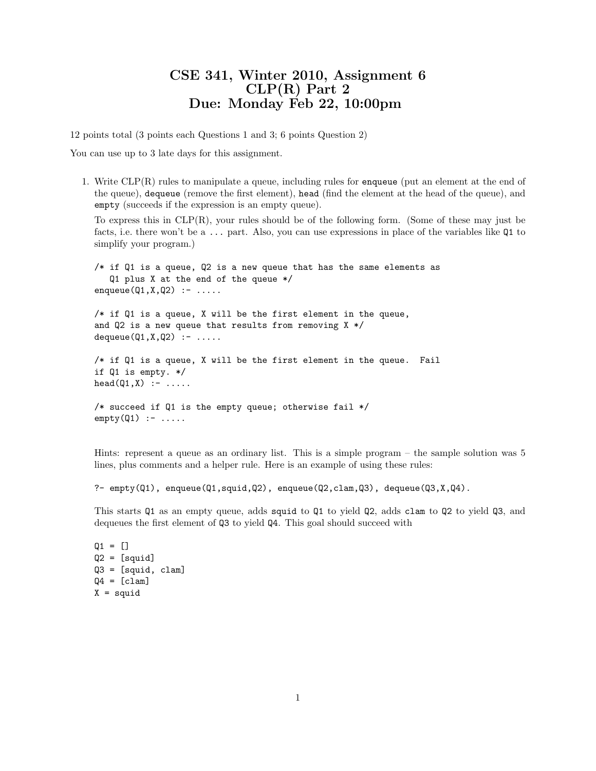## CSE 341, Winter 2010, Assignment 6 CLP(R) Part 2 Due: Monday Feb 22, 10:00pm

12 points total (3 points each Questions 1 and 3; 6 points Question 2)

You can use up to 3 late days for this assignment.

1. Write CLP(R) rules to manipulate a queue, including rules for enqueue (put an element at the end of the queue), dequeue (remove the first element), head (find the element at the head of the queue), and empty (succeeds if the expression is an empty queue).

To express this in CLP(R), your rules should be of the following form. (Some of these may just be facts, i.e. there won't be a ... part. Also, you can use expressions in place of the variables like Q1 to simplify your program.)

 $/*$  if Q1 is a queue, Q2 is a new queue that has the same elements as Q1 plus X at the end of the queue \*/ enqueue $(Q1, X, Q2)$  :- ..... /\* if Q1 is a queue, X will be the first element in the queue, and Q2 is a new queue that results from removing X \*/  $dequeue(Q1, X, Q2)$  :- .....  $/*$  if Q1 is a queue, X will be the first element in the queue. Fail if Q1 is empty. \*/  $head(Q1, X)$  :- ..... /\* succeed if Q1 is the empty queue; otherwise fail \*/

 $empty(Q1)$  :- .....

Hints: represent a queue as an ordinary list. This is a simple program – the sample solution was 5 lines, plus comments and a helper rule. Here is an example of using these rules:

```
?- empty(Q1), enqueue(Q1, squid,Q2), enqueue(Q2,clam,Q3), dequeue(Q3,X,Q4).
```
This starts Q1 as an empty queue, adds squid to Q1 to yield Q2, adds clam to Q2 to yield Q3, and dequeues the first element of Q3 to yield Q4. This goal should succeed with

 $Q1 = []$  $Q2 = [squid]$ Q3 = [squid, clam]  $Q4 = [clam]$  $X =$  squid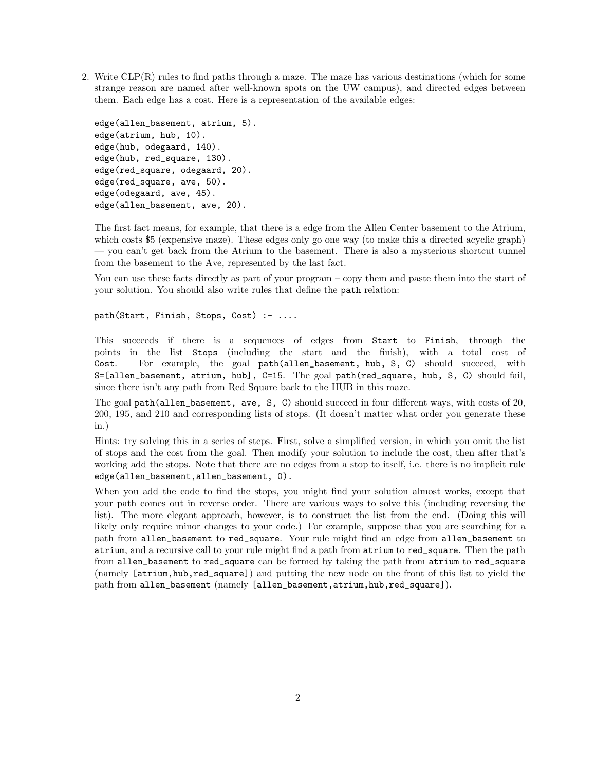2. Write CLP(R) rules to find paths through a maze. The maze has various destinations (which for some strange reason are named after well-known spots on the UW campus), and directed edges between them. Each edge has a cost. Here is a representation of the available edges:

```
edge(allen_basement, atrium, 5).
edge(atrium, hub, 10).
edge(hub, odegaard, 140).
edge(hub, red_square, 130).
edge(red_square, odegaard, 20).
edge(red_square, ave, 50).
edge(odegaard, ave, 45).
edge(allen_basement, ave, 20).
```
The first fact means, for example, that there is a edge from the Allen Center basement to the Atrium, which costs \$5 (expensive maze). These edges only go one way (to make this a directed acyclic graph) — you can't get back from the Atrium to the basement. There is also a mysterious shortcut tunnel from the basement to the Ave, represented by the last fact.

You can use these facts directly as part of your program – copy them and paste them into the start of your solution. You should also write rules that define the path relation:

path(Start, Finish, Stops, Cost) :- ....

This succeeds if there is a sequences of edges from Start to Finish, through the points in the list Stops (including the start and the finish), with a total cost of Cost. For example, the goal path(allen\_basement, hub, S, C) should succeed, with S=[allen\_basement, atrium, hub], C=15. The goal path(red\_square, hub, S, C) should fail, since there isn't any path from Red Square back to the HUB in this maze.

The goal path(allen\_basement, ave, S, C) should succeed in four different ways, with costs of 20, 200, 195, and 210 and corresponding lists of stops. (It doesn't matter what order you generate these in.)

Hints: try solving this in a series of steps. First, solve a simplified version, in which you omit the list of stops and the cost from the goal. Then modify your solution to include the cost, then after that's working add the stops. Note that there are no edges from a stop to itself, i.e. there is no implicit rule edge(allen\_basement,allen\_basement, 0).

When you add the code to find the stops, you might find your solution almost works, except that your path comes out in reverse order. There are various ways to solve this (including reversing the list). The more elegant approach, however, is to construct the list from the end. (Doing this will likely only require minor changes to your code.) For example, suppose that you are searching for a path from allen\_basement to red\_square. Your rule might find an edge from allen\_basement to atrium, and a recursive call to your rule might find a path from atrium to red\_square. Then the path from allen\_basement to red\_square can be formed by taking the path from atrium to red\_square (namely [atrium,hub,red\_square]) and putting the new node on the front of this list to yield the path from allen\_basement (namely [allen\_basement,atrium,hub,red\_square]).